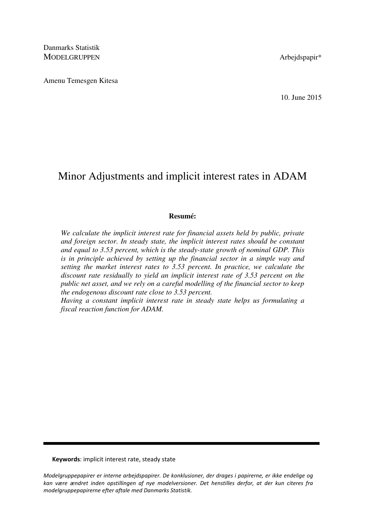Danmarks Statistik MODELGRUPPEN Arbeidspapir\*

Amenu Temesgen Kitesa

10. June 2015

# Minor Adjustments and implicit interest rates in ADAM

## **Resumé:**

*We calculate the implicit interest rate for financial assets held by public, private and foreign sector. In steady state, the implicit interest rates should be constant and equal to 3.53 percent, which is the steady-state growth of nominal GDP. This is in principle achieved by setting up the financial sector in a simple way and setting the market interest rates to 3.53 percent. In practice, we calculate the discount rate residually to yield an implicit interest rate of 3.53 percent on the public net asset, and we rely on a careful modelling of the financial sector to keep the endogenous discount rate close to 3.53 percent.* 

*Having a constant implicit interest rate in steady state helps us formulating a fiscal reaction function for ADAM.* 

Keywords: implicit interest rate, steady state

Modelgruppepapirer er interne arbejdspapirer. De konklusioner, der drages i papirerne, er ikke endelige og kan være ændret inden opstillingen af nye modelversioner. Det henstilles derfor, at der kun citeres fra modelgruppepapirerne efter aftale med Danmarks Statistik.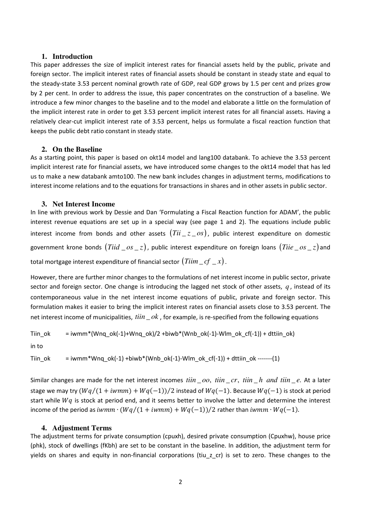#### **1. Introduction**

This paper addresses the size of implicit interest rates for financial assets held by the public, private and foreign sector. The implicit interest rates of financial assets should be constant in steady state and equal to the steady-state 3.53 percent nominal growth rate of GDP, real GDP grows by 1.5 per cent and prizes grow by 2 per cent. In order to address the issue, this paper concentrates on the construction of a baseline. We introduce a few minor changes to the baseline and to the model and elaborate a little on the formulation of the implicit interest rate in order to get 3.53 percent implicit interest rates for all financial assets. Having a relatively clear-cut implicit interest rate of 3.53 percent, helps us formulate a fiscal reaction function that keeps the public debt ratio constant in steady state.

## **2. On the Baseline**

As a starting point, this paper is based on okt14 model and lang100 databank. To achieve the 3.53 percent implicit interest rate for financial assets, we have introduced some changes to the okt14 model that has led us to make a new databank amto100. The new bank includes changes in adjustment terms, modifications to interest income relations and to the equations for transactions in shares and in other assets in public sector.

## **3. Net Interest Income**

In line with previous work by Dessie and Dan 'Formulating a Fiscal Reaction function for ADAM', the public interest revenue equations are set up in a special way (see page 1 and 2). The equations include public interest income from bonds and other assets  $(Tii\_z\_os)$ , public interest expenditure on domestic government krone bonds  $\left( Tiid \_ os \_ z \right)$ , public interest expenditure on foreign loans  $\left( Tlie \_ os \_ z \right)$ and total mortgage interest expenditure of financial sector  $\left(Tiim\_cf\,\_\,x\right)$  .

However, there are further minor changes to the formulations of net interest income in public sector, private sector and foreign sector. One change is introducing the lagged net stock of other assets,  $q$ , instead of its contemporaneous value in the net interest income equations of public, private and foreign sector. This formulation makes it easier to bring the implicit interest rates on financial assets close to 3.53 percent. The net interest income of municipalities,  $\lim_{h \to 0} k$ , for example, is re-specified from the following equations

$$
Tiin\_ok = iwmm*(Wnq\_ok(-1)+Wnq\_ok)/2 + biwb*(Wnb\_ok(-1)-Wlm\_ok\_cf(-1)) + dttiin\_ok)
$$

in to

Tiin\_ok = iwmm\*Wnq\_ok(-1) +biwb\*(Wnb\_ok(-1)-Wlm\_ok\_cf(-1)) + dttiin\_ok -------(1)

Similar changes are made for the net interest incomes  $\lim_{\rho} \phi$ ,  $\lim_{\rho} \phi$ ,  $\lim_{\rho} \phi$  and  $\lim_{\rho} \phi$ . At a later stage we may try  $(Wq/(1 + iwmm) + Wq(-1))/2$  instead of  $Wq(-1)$ . Because  $Wq(-1)$  is stock at period start while  $Wq$  is stock at period end, and it seems better to involve the latter and determine the interest income of the period as  $ivmm \cdot (Wq/(1+ivmm) + Wq(-1))/2$  rather than  $ivmm \cdot Wq(-1)$ .

# **4. Adjustment Terms**

The adjustment terms for private consumption (cpuxh), desired private consumption (Cpuxhw), house price (phk), stock of dwellings (fKbh) are set to be constant in the baseline. In addition, the adjustment term for yields on shares and equity in non-financial corporations (tiu z cr) is set to zero. These changes to the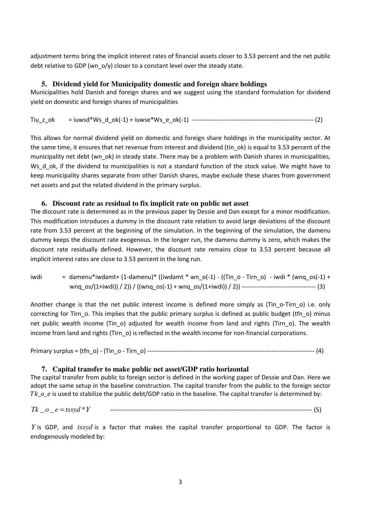adjustment terms bring the implicit interest rates of financial assets closer to 3.53 percent and the net public debt relative to GDP (wn  $o/y$ ) closer to a constant level over the steady state.

# **5. Dividend yield for Municipality domestic and foreign share holdings**

Municipalities hold Danish and foreign shares and we suggest using the standard formulation for dividend yield on domestic and foreign shares of municipalities

Tiu\_z\_ok = iuwsd\*Ws\_d\_ok(-1) + iuwse\*Ws\_e\_ok(-1) ----------------------------------------------------------- (2)

This allows for normal dividend yield on domestic and foreign share holdings in the municipality sector. At the same time, it ensures that net revenue from interest and dividend (tin\_ok) is equal to 3.53 percent of the municipality net debt (wn\_ok) in steady state. There may be a problem with Danish shares in municipalities, Ws d ok, if the dividend to municipalities is not a standard function of the stock value. We might have to keep municipality shares separate from other Danish shares, maybe exclude these shares from government net assets and put the related dividend in the primary surplus.

## **6. Discount rate as residual to fix implicit rate on public net asset**

The discount rate is determined as in the previous paper by Dessie and Dan except for a minor modification. This modification introduces a dummy in the discount rate relation to avoid large deviations of the discount rate from 3.53 percent at the beginning of the simulation. In the beginning of the simulation, the damenu dummy keeps the discount rate exogenous. In the longer run, the damenu dummy is zero, which makes the discount rate residually defined. However, the discount rate remains close to 3.53 percent because all implicit interest rates are close to 3.53 percent in the long run.

iwdi = damenu\*iwdamt+ (1-damenu)\* ((iwdamt \* wn\_o(-1) - ((Tin\_o - Tirn\_o) - iwdi \* (wnq\_os(-1) + wnq\_os/(1+iwdi)) / 2)) / ((wnq\_os(-1) + wnq\_os/(1+iwdi)) / 2)) ------------------------------------ (3)

Another change is that the net public interest income is defined more simply as (Tin o-Tirn o) i.e. only correcting for Tirn o. This implies that the public primary surplus is defined as public budget (tfn o) minus net public wealth income (Tin\_o) adjusted for wealth income from land and rights (Tirn\_o). The wealth income from land and rights (Tirn o) is reflected in the wealth income for non-financial corporations.

Primary surplus = (tfn\_o) - (Tin\_o - Tirn\_o) --------------------------------------------------------------------------------- (4)

# **7. Capital transfer to make public net asset/GDP ratio horizontal**

The capital transfer from public to foreign sector is defined in the working paper of Dessie and Dan. Here we adopt the same setup in the baseline construction. The capital transfer from the public to the foreign sector Tk  $o$  e is used to stabilize the public debt/GDP ratio in the baseline. The capital transfer is determined by:

*Tk o e tssyd Y* \_ \_ \* = -------------------------------------------------------------------------------------------------- (5)

*Y* is GDP, and *tssyd* is a factor that makes the capital transfer proportional to GDP. The factor is endogenously modeled by: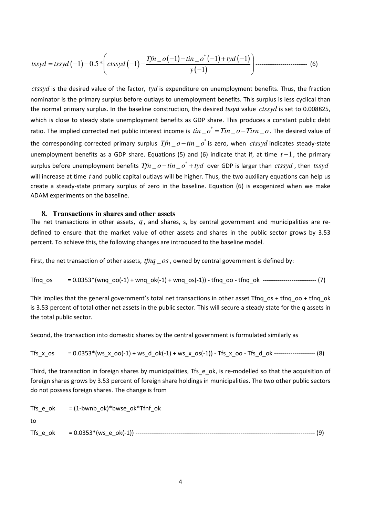$$
tssyd = tssyd(-1) - 0.5 * \left(ctssyd(-1) - \frac{Tfn - o(-1) - tin - o^*(-1) + tyd(-1)}{y(-1)}\right) - \cdots
$$
 (6)

*ctssyd* is the desired value of the factor, *tyd* is expenditure on unemployment benefits. Thus, the fraction nominator is the primary surplus before outlays to unemployment benefits. This surplus is less cyclical than the normal primary surplus. In the baseline construction, the desired tssyd value *ctssyd* is set to 0.008825, which is close to steady state unemployment benefits as GDP share. This produces a constant public debt ratio. The implied corrected net public interest income is  $\it{tin}\_\o''$  =  $\it{Tim}\_\o$  -  $\it{Tim}\_\o$ . The desired value of the corresponding corrected primary surplus  $Tfn \_ o - tin \_ o^{*}$  is zero, when  $\mathit{crssyd}$  indicates steady-state unemployment benefits as a GDP share. Equations (5) and (6) indicate that if, at time *t* −1, the primary surplus before unemployment benefits  $Tfn \_ o - tin \_ o^* + tyd$  over GDP is larger than  $\mathit{crssyd}$  , then  $\mathit{tssyd}$ will increase at time *t* and public capital outlays will be higher. Thus, the two auxiliary equations can help us create a steady-state primary surplus of zero in the baseline. Equation (6) is exogenized when we make ADAM experiments on the baseline.

## **8. Transactions in shares and other assets**

The net transactions in other assets,  $q$ , and shares, s, by central government and municipalities are redefined to ensure that the market value of other assets and shares in the public sector grows by 3.53 percent. To achieve this, the following changes are introduced to the baseline model.

First, the net transaction of other assets,  $\text{tfnq}\_\text{OS}$ , owned by central government is defined by:

Tfnq\_os = 0.0353\*(wnq\_oo(-1) + wnq\_ok(-1) + wnq\_os(-1)) - tfnq\_oo - tfnq\_ok -------------------------- (7)

This implies that the general government's total net transactions in other asset Tfnq\_os + tfnq\_oo + tfnq\_ok is 3.53 percent of total other net assets in the public sector. This will secure a steady state for the q assets in the total public sector.

Second, the transaction into domestic shares by the central government is formulated similarly as

$$
Tfs_x \text{os} = 0.0353*(ws_x \text{oo}(-1) + ws_d \text{ok}(-1) + ws_x \text{os}(-1)) - Tfs_x \text{oo} - Tfs_d \text{ok} \dots
$$

Third, the transaction in foreign shares by municipalities, Tfs e ok, is re-modelled so that the acquisition of foreign shares grows by 3.53 percent of foreign share holdings in municipalities. The two other public sectors do not possess foreign shares. The change is from

Tfs\_e\_ok =  $(1-bwnb)$  ok)\*bwse\_ok\*Tfnf\_ok

to

$$
Tfs\_e\_ok = 0.0353*(ws\_e\_ok(-1))
$$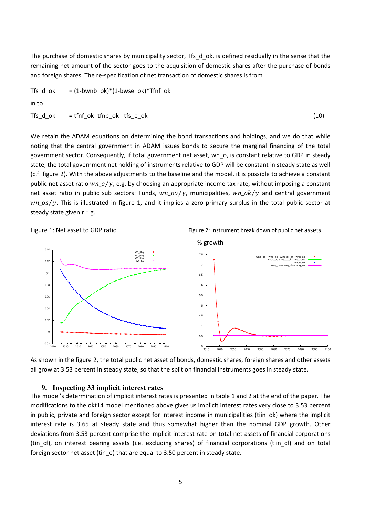The purchase of domestic shares by municipality sector, Tfs d ok, is defined residually in the sense that the remaining net amount of the sector goes to the acquisition of domestic shares after the purchase of bonds and foreign shares. The re-specification of net transaction of domestic shares is from

| Tfs d ok | $=$ (1-bwnb ok)*(1-bwse ok)*Tfnf ok |
|----------|-------------------------------------|
| in to    |                                     |
| Tfs d ok | (10)                                |

We retain the ADAM equations on determining the bond transactions and holdings, and we do that while noting that the central government in ADAM issues bonds to secure the marginal financing of the total government sector. Consequently, if total government net asset, wn\_o, is constant relative to GDP in steady state, the total government net holding of instruments relative to GDP will be constant in steady state as well (c.f. figure 2). With the above adjustments to the baseline and the model, it is possible to achieve a constant public net asset ratio  $wn\_o/y$ , e.g. by choosing an appropriate income tax rate, without imposing a constant net asset ratio in public sub sectors: Funds,  $wn\_oo/y$ , municipalities,  $wn\_ok/y$  and central government  $wr_0s/y$ . This is illustrated in figure 1, and it implies a zero primary surplus in the total public sector at steady state given  $r = g$ .







As shown in the figure 2, the total public net asset of bonds, domestic shares, foreign shares and other assets all grow at 3.53 percent in steady state, so that the split on financial instruments goes in steady state.

#### **9. Inspecting 33 implicit interest rates**

The model's determination of implicit interest rates is presented in table 1 and 2 at the end of the paper. The modifications to the okt14 model mentioned above gives us implicit interest rates very close to 3.53 percent in public, private and foreign sector except for interest income in municipalities (tiin\_ok) where the implicit interest rate is 3.65 at steady state and thus somewhat higher than the nominal GDP growth. Other deviations from 3.53 percent comprise the implicit interest rate on total net assets of financial corporations (tin\_cf), on interest bearing assets (i.e. excluding shares) of financial corporations (tiin\_cf) and on total foreign sector net asset (tin e) that are equal to 3.50 percent in steady state.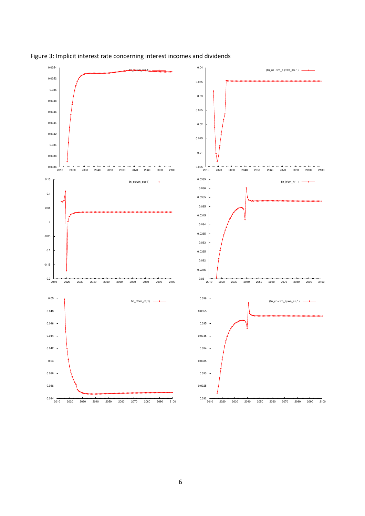

Figure 3: Implicit interest rate concerning interest incomes and dividends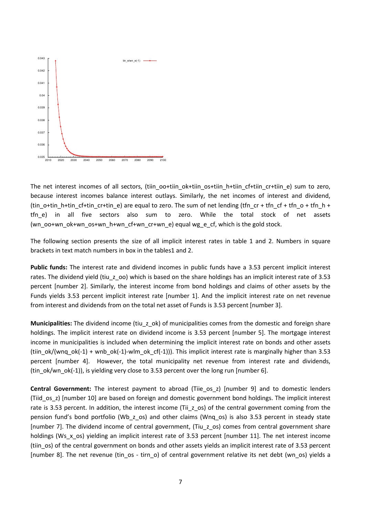

The net interest incomes of all sectors, (tiin\_oo+tiin\_ok+tiin\_os+tiin\_h+tiin\_cf+tiin\_cr+tiin\_e) sum to zero, because interest incomes balance interest outlays. Similarly, the net incomes of interest and dividend, (tin  $o$ +tin  $h$ +tin  $cf$ +tin  $cr$ +tin  $e$ ) are equal to zero. The sum of net lending (tfn  $cr$  + tfn  $cf$  + tfn  $o$  + tfn  $h$  + tfn\_e) in all five sectors also sum to zero. While the total stock of net assets (wn\_oo+wn\_ok+wn\_os+wn\_h+wn\_cf+wn\_cr+wn\_e) equal wg\_e\_cf, which is the gold stock.

The following section presents the size of all implicit interest rates in table 1 and 2. Numbers in square brackets in text match numbers in box in the tables1 and 2.

Public funds: The interest rate and dividend incomes in public funds have a 3.53 percent implicit interest rates. The dividend yield (tiu z oo) which is based on the share holdings has an implicit interest rate of 3.53 percent [number 2]. Similarly, the interest income from bond holdings and claims of other assets by the Funds yields 3.53 percent implicit interest rate [number 1]. And the implicit interest rate on net revenue from interest and dividends from on the total net asset of Funds is 3.53 percent [number 3].

Municipalities: The dividend income (tiu z ok) of municipalities comes from the domestic and foreign share holdings. The implicit interest rate on dividend income is 3.53 percent [number 5]. The mortgage interest income in municipalities is included when determining the implicit interest rate on bonds and other assets (tiin\_ok/(wnq\_ok(-1) + wnb\_ok(-1)-wlm\_ok\_cf(-1))). This implicit interest rate is marginally higher than 3.53 percent [number 4]. However, the total municipality net revenue from interest rate and dividends, (tin\_ok/wn\_ok(-1)), is yielding very close to 3.53 percent over the long run [number 6].

Central Government: The interest payment to abroad (Tiie os z) [number 9] and to domestic lenders (Tiid\_os\_z) [number 10] are based on foreign and domestic government bond holdings. The implicit interest rate is 3.53 percent. In addition, the interest income (Tii z os) of the central government coming from the pension fund's bond portfolio (Wb\_z\_os) and other claims (Wnq\_os) is also 3.53 percent in steady state [number 7]. The dividend income of central government, (Tiu\_z\_os) comes from central government share holdings (Ws\_x\_os) yielding an implicit interest rate of 3.53 percent [number 11]. The net interest income (tiin\_os) of the central government on bonds and other assets yields an implicit interest rate of 3.53 percent [number 8]. The net revenue (tin\_os - tirn\_o) of central government relative its net debt (wn\_os) yields a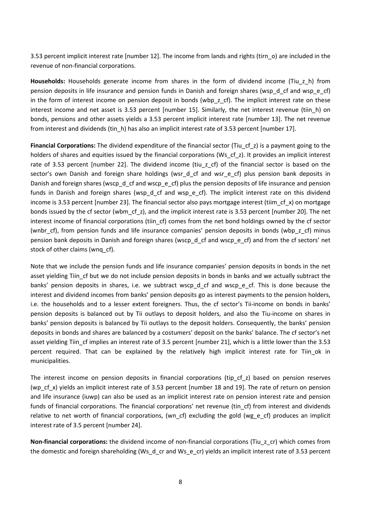3.53 percent implicit interest rate [number 12]. The income from lands and rights (tirn\_o) are included in the revenue of non-financial corporations.

Households: Households generate income from shares in the form of dividend income (Tiu\_z\_h) from pension deposits in life insurance and pension funds in Danish and foreign shares (wsp\_d\_cf and wsp\_e\_cf) in the form of interest income on pension deposit in bonds (wbp\_z\_cf). The implicit interest rate on these interest income and net asset is 3.53 percent [number 15]. Similarly, the net interest revenue (tiin h) on bonds, pensions and other assets yields a 3.53 percent implicit interest rate [number 13]. The net revenue from interest and dividends (tin\_h) has also an implicit interest rate of 3.53 percent [number 17].

Financial Corporations: The dividend expenditure of the financial sector (Tiu cf z) is a payment going to the holders of shares and equities issued by the financial corporations (Ws\_cf\_z). It provides an implicit interest rate of 3.53 percent [number 22]. The dividend income (tiu z cf) of the financial sector is based on the sector's own Danish and foreign share holdings (wsr d cf and wsr e cf) plus pension bank deposits in Danish and foreign shares (wscp\_d\_cf and wscp\_e\_cf) plus the pension deposits of life insurance and pension funds in Danish and foreign shares (wsp\_d\_cf and wsp\_e\_cf). The implicit interest rate on this dividend income is 3.53 percent [number 23]. The financial sector also pays mortgage interest (tiim cf x) on mortgage bonds issued by the cf sector (wbm\_cf\_z), and the implicit interest rate is 3.53 percent [number 20]. The net interest income of financial corporations (tiin\_cf) comes from the net bond holdings owned by the cf sector (wnbr\_cf), from pension funds and life insurance companies' pension deposits in bonds (wbp\_z\_cf) minus pension bank deposits in Danish and foreign shares (wscp\_d\_cf and wscp\_e\_cf) and from the cf sectors' net stock of other claims (wnq\_cf).

Note that we include the pension funds and life insurance companies' pension deposits in bonds in the net asset yielding Tiin cf but we do not include pension deposits in bonds in banks and we actually subtract the banks' pension deposits in shares, i.e. we subtract wscp d cf and wscp e cf. This is done because the interest and dividend incomes from banks' pension deposits go as interest payments to the pension holders, i.e. the households and to a lesser extent foreigners. Thus, the cf sector's Tii-income on bonds in banks' pension deposits is balanced out by Tii outlays to deposit holders, and also the Tiu-income on shares in banks' pension deposits is balanced by Tii outlays to the deposit holders. Consequently, the banks' pension deposits in bonds and shares are balanced by a costumers' deposit on the banks' balance. The cf sector's net asset yielding Tiin\_cf implies an interest rate of 3.5 percent [number 21], which is a little lower than the 3.53 percent required. That can be explained by the relatively high implicit interest rate for Tiin\_ok in municipalities.

The interest income on pension deposits in financial corporations (tip cf z) based on pension reserves (wp\_cf\_x) yields an implicit interest rate of 3.53 percent [number 18 and 19]. The rate of return on pension and life insurance (iuwp) can also be used as an implicit interest rate on pension interest rate and pension funds of financial corporations. The financial corporations' net revenue (tin\_cf) from interest and dividends relative to net worth of financial corporations, (wn cf) excluding the gold (wg e cf) produces an implicit interest rate of 3.5 percent [number 24].

Non-financial corporations: the dividend income of non-financial corporations (Tiu\_z\_cr) which comes from the domestic and foreign shareholding (Ws\_d\_cr and Ws\_e\_cr) yields an implicit interest rate of 3.53 percent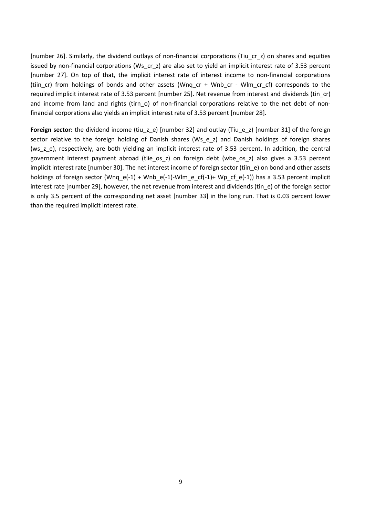[number 26]. Similarly, the dividend outlays of non-financial corporations (Tiu\_cr\_z) on shares and equities issued by non-financial corporations (Ws\_cr\_z) are also set to yield an implicit interest rate of 3.53 percent [number 27]. On top of that, the implicit interest rate of interest income to non-financial corporations (tiin cr) from holdings of bonds and other assets (Wnq cr + Wnb cr - Wlm cr cf) corresponds to the required implicit interest rate of 3.53 percent [number 25]. Net revenue from interest and dividends (tin\_cr) and income from land and rights (tirn\_o) of non-financial corporations relative to the net debt of nonfinancial corporations also yields an implicit interest rate of 3.53 percent [number 28].

Foreign sector: the dividend income (tiu\_z\_e) [number 32] and outlay (Tiu\_e\_z) [number 31] of the foreign sector relative to the foreign holding of Danish shares (Ws\_e\_z) and Danish holdings of foreign shares (ws\_z\_e), respectively, are both yielding an implicit interest rate of 3.53 percent. In addition, the central government interest payment abroad (tiie os z) on foreign debt (wbe os z) also gives a 3.53 percent implicit interest rate [number 30]. The net interest income of foreign sector (tiin\_e) on bond and other assets holdings of foreign sector (Wnq\_e(-1) + Wnb\_e(-1)-Wlm\_e\_cf(-1)+ Wp\_cf\_e(-1)) has a 3.53 percent implicit interest rate [number 29], however, the net revenue from interest and dividends (tin\_e) of the foreign sector is only 3.5 percent of the corresponding net asset [number 33] in the long run. That is 0.03 percent lower than the required implicit interest rate.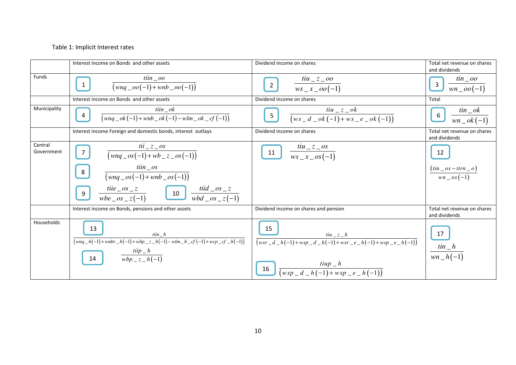# Table 1: Implicit Interest rates

|                       | Interest income on Bonds and other assets                                                                                       | Dividend income on shares                                                                                                                           | Total net revenue on shares<br>and dividends                    |
|-----------------------|---------------------------------------------------------------------------------------------------------------------------------|-----------------------------------------------------------------------------------------------------------------------------------------------------|-----------------------------------------------------------------|
| Funds                 | $\lim_{a \to 0}$<br>$\mathbf{1}$<br>$(wnq \_oo(-1) + wnb \_oo(-1))$                                                             | $\frac{tiu_z_2}{ws_x_2 - \omega(-1)}$<br>$\overline{2}$                                                                                             | $\frac{\sin\_{oo}}{\sin\_{oo}(-1)}$<br>$\overline{\mathbf{3}}$  |
|                       | Interest income on Bonds and other assets                                                                                       | Dividend income on shares                                                                                                                           | Total                                                           |
| Municipality          | $\lim_{\longrightarrow}$<br>$(wnq_{o}k(-1) + wh_{o}k(-1) - whm_{o}k_{c}f(-1))$                                                  | $\frac{tiu_z_ - ok}{(ws_d_ - ok(-1))+ws_e_- - ok(-1))}$<br>5 <sub>1</sub>                                                                           | $\frac{t}{in}$ ok<br>$6\overline{6}$<br>$\overline{wn\_ok(-1)}$ |
|                       | Interest income Foreign and domestic bonds, interest outlays                                                                    | Dividend income on shares                                                                                                                           | Total net revenue on shares<br>and dividends                    |
| Central<br>Government | $tii \_ z \_ os$<br>$\overline{7}$<br>$\sqrt{(wnq\_{os}(-1)+wb\_{z\_{os}(-1)})}$                                                | $\frac{tiu_z \cos \theta}{ws_x \cos \theta}$<br>11                                                                                                  | 12                                                              |
|                       | $\lim_{\sim}$<br>$8 \mid$<br>$\frac{1}{(w n q \cos(-1) + w n b \cos(-1))}$                                                      |                                                                                                                                                     | $\frac{(tin\_\,os - tirn\_\,o)}{wn\_\,os\,(-1)}$                |
|                       | $\frac{tii e\_{os}\ z}{wbe\_{os}\ z(-1)}$ $\boxed{10}$ $\frac{tii d\_{os}\ z}{wbd\_{os}\ z(-1)}$<br>9                           |                                                                                                                                                     |                                                                 |
|                       | Interest income on Bonds, pensions and other assets                                                                             | Dividend income on shares and pension                                                                                                               | Total net revenue on shares<br>and dividends                    |
| Households            | 13<br>$\lim h$<br>$\sqrt{(wnq_h(-1)+wnbr_h(-1)+wbp_z(h(-1))-wlm_h(cf(-1)+wcp_c(f_h(-1)))}$<br>$\frac{tip}{wbp_z z_h(-1)}$<br>14 | 15<br>$\frac{tiu_z = h}{(wsr_d_h(-1) + wsp_d_h(-1) + wsr_e - e_h(-1) + wsp_e - e_h(-1))}$<br>$\frac{tiup-h}{(wsp_d -d-h(-1)+wsp_e -e-h(-1))}$<br>16 | 17<br>$\frac{\sin\,-h}{\sin\,-h(-1)}$                           |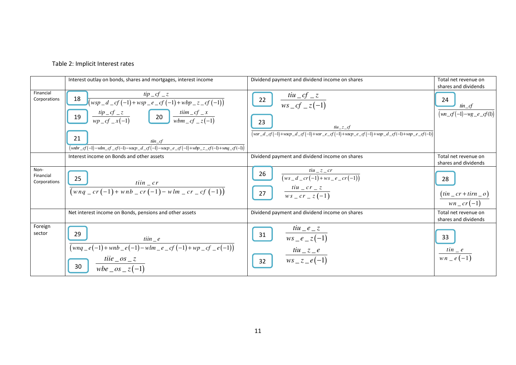

|                                   | Interest outlay on bonds, shares and mortgages, interest income                                                                                                                                                                               | Dividend payment and dividend income on shares                                                                                                                                             | Total net revenue on<br>shares and dividends              |
|-----------------------------------|-----------------------------------------------------------------------------------------------------------------------------------------------------------------------------------------------------------------------------------------------|--------------------------------------------------------------------------------------------------------------------------------------------------------------------------------------------|-----------------------------------------------------------|
| Financial<br>Corporations         | $\int \frac{tip\_cf\_z}{(wsp\_d\_cf(-1)+wsp\_e\_cf(-1)+wbp\_z\_cf(-1))}$<br>18                                                                                                                                                                | $\frac{tiu\_cf\_z}{ws\_cf\_z(-1)}$<br>22                                                                                                                                                   | 24                                                        |
|                                   | 19 $\frac{tip\_cf\_z}{wp\_cf\_x(-1)}$ 20 $\frac{tiim\_cf\_x}{wbm\_cf\_z(-1)}$                                                                                                                                                                 |                                                                                                                                                                                            | $\lim_{\longrightarrow} f$<br>$(wn\_cf(-1)-wg\_e\_cf(1))$ |
|                                   |                                                                                                                                                                                                                                               | 23<br>$\mathit{tiu}_{-}z_{-}cf$<br>$\frac{1}{\left(\text{wsr}\_d\_cf(-1)+\text{wscp}\_d\_cf(-1)+\text{wsr}\_e\_cf(-1)+\text{wscp}\_e\_cf(-1)+\text{wsp}\_d\_cf(-1)+\text{wsp}\_e\_cf(-1)}$ |                                                           |
|                                   | 21<br>$\lim_{\longrightarrow}$<br>$\frac{1}{2}(\text{mbr}\_\text{cf}(-1) - \text{wlm}\_\text{cf}\_\text{cf}(-1) - \text{wscp}\_\text{cf}(-1) - \text{wscp}\_\text{cf}(-1) + \text{wbp}\_\text{cf}\_\text{cf}(-1) + \text{wpq}\_\text{cf}(-1)$ |                                                                                                                                                                                            |                                                           |
|                                   | Interest income on Bonds and other assets                                                                                                                                                                                                     | Dividend payment and dividend income on shares                                                                                                                                             | Total net revenue on<br>shares and dividends              |
| Non-<br>Financial<br>Corporations | 25<br>$tiin\_cr$                                                                                                                                                                                                                              | $tiu_z_z$<br>26<br>$\frac{1}{(ws_d - cr(-1) + ws_e - cr(-1))}$                                                                                                                             | 28                                                        |
|                                   | $\sqrt{(wng_c r(-1) + wnb_c r(-1) - wlm_c r_c r(-1))}$                                                                                                                                                                                        | $\frac{tiu\_{cr}}{ws\_{cr}}\frac{cr}{x\left(-1\right)}$<br>27                                                                                                                              | $(in\_cr+tim\_o)$<br>$wn\_cr(-1)$                         |
|                                   | Net interest income on Bonds, pensions and other assets                                                                                                                                                                                       | Dividend payment and dividend income on shares                                                                                                                                             | Total net revenue on<br>shares and dividends              |
| Foreign<br>sector                 | 29<br>$\lim_{x \to a} e$                                                                                                                                                                                                                      | $tiu$ <sub>-</sub> $e$ <sub>-</sub> $z$<br>31<br>$ws_e_z(-1)$                                                                                                                              | 33                                                        |
|                                   | $(wnq_e(-1) + \wedge nb_e(-1) - \wedge bm_ecf(-1) + \wedge cp_e(-1))$<br>tiie $\cos z$<br>30<br>wbe $\cos z(-1)$                                                                                                                              | $tiu_z = e$<br>$ws_z = e(-1)$<br>32                                                                                                                                                        | $\frac{t in \_\ e}{w n \_\ e (-1)}$                       |